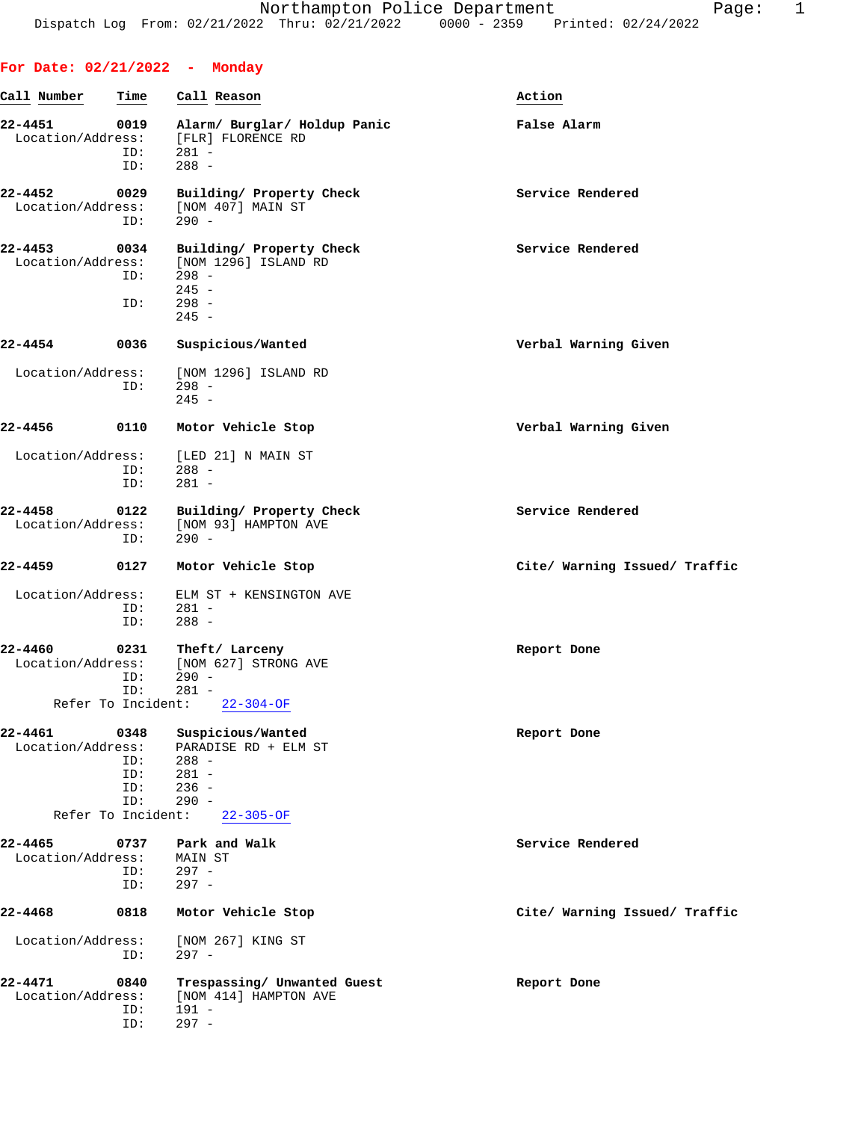| For Date: 02/21/2022 - Monday    |                                          |                                                                                              |                               |
|----------------------------------|------------------------------------------|----------------------------------------------------------------------------------------------|-------------------------------|
| Call Number                      | Time                                     | Call Reason                                                                                  | Action                        |
| 22-4451<br>Location/Address:     | 0019<br>ID:<br>ID:                       | Alarm/ Burglar/ Holdup Panic<br>[FLR] FLORENCE RD<br>$281 -$<br>$288 -$                      | False Alarm                   |
| 22-4452<br>Location/Address:     | 0029<br>ID:                              | Building/ Property Check<br>[NOM 407] MAIN ST<br>$290 -$                                     | Service Rendered              |
| 22-4453<br>Location/Address:     | 0034<br>ID:<br>ID:                       | Building/ Property Check<br>[NOM 1296] ISLAND RD<br>$298 -$<br>$245 -$<br>$298 -$<br>$245 -$ | Service Rendered              |
| 22-4454                          | 0036                                     | Suspicious/Wanted                                                                            | Verbal Warning Given          |
| Location/Address:                | ID:                                      | [NOM 1296] ISLAND RD<br>$298 -$<br>$245 -$                                                   |                               |
| 22-4456                          | 0110                                     | Motor Vehicle Stop                                                                           | Verbal Warning Given          |
| Location/Address:                | ID:<br>ID:                               | [LED 21] N MAIN ST<br>$288 -$<br>$281 -$                                                     |                               |
| $22 - 4458$<br>Location/Address: | 0122<br>ID:                              | Building/ Property Check<br>[NOM 93] HAMPTON AVE<br>$290 -$                                  | Service Rendered              |
| 22-4459                          | 0127                                     | Motor Vehicle Stop                                                                           | Cite/ Warning Issued/ Traffic |
| Location/Address:                | ID:<br>ID:                               | ELM ST + KENSINGTON AVE<br>$281 -$<br>$288 -$                                                |                               |
| 22-4460<br>Location/Address:     | 0231<br>ID:<br>ID:<br>Refer To Incident: | Theft/ Larceny<br>[NOM 627] STRONG AVE<br>$290 -$<br>281 -<br>$22 - 304 - OF$                | Report Done                   |
| $22 - 4461$<br>Location/Address: | 0348<br>ID:<br>ID:<br>ID:<br>ID:         | Suspicious/Wanted<br>PARADISE RD + ELM ST<br>$288 -$<br>$281 -$<br>$236 -$<br>$290 -$        | Report Done                   |
|                                  | Refer To Incident:                       | $22 - 305 - OF$                                                                              |                               |
| 22-4465<br>Location/Address:     | 0737<br>ID:<br>ID:                       | Park and Walk<br>MAIN ST<br>$297 -$<br>$297 -$                                               | Service Rendered              |
| 22-4468                          | 0818                                     | Motor Vehicle Stop                                                                           | Cite/ Warning Issued/ Traffic |
| Location/Address:                | ID:                                      | [NOM 267] KING ST<br>$297 -$                                                                 |                               |
| 22-4471<br>Location/Address:     | 0840<br>ID:<br>ID:                       | Trespassing/ Unwanted Guest<br>[NOM 414] HAMPTON AVE<br>$191 -$<br>$297 -$                   | Report Done                   |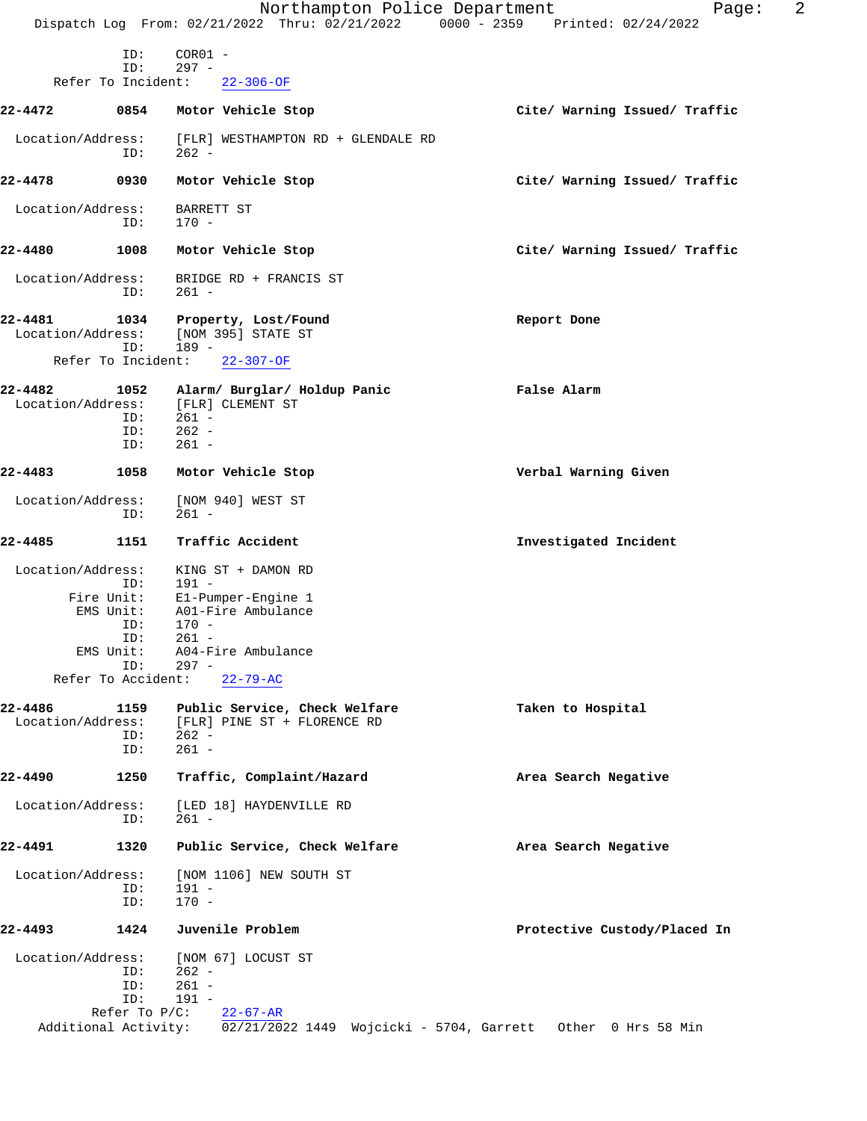|                              |                                          | Northampton Police Department<br>Dispatch Log From: 02/21/2022 Thru: 02/21/2022 0000 - 2359 Printed: 02/24/2022 | 2<br>Page:                    |
|------------------------------|------------------------------------------|-----------------------------------------------------------------------------------------------------------------|-------------------------------|
|                              | ID:                                      | $COR01 -$                                                                                                       |                               |
|                              | ID:                                      | $297 -$                                                                                                         |                               |
|                              | Refer To Incident:                       | $22 - 306 - OF$                                                                                                 |                               |
| 22-4472                      | 0854                                     | Motor Vehicle Stop                                                                                              | Cite/ Warning Issued/ Traffic |
| Location/Address:            | ID:                                      | [FLR] WESTHAMPTON RD + GLENDALE RD<br>$262 -$                                                                   |                               |
| 22-4478                      | 0930                                     | Motor Vehicle Stop                                                                                              | Cite/ Warning Issued/ Traffic |
| Location/Address:            | ID:                                      | BARRETT ST<br>$170 -$                                                                                           |                               |
| 22-4480                      | 1008                                     | Motor Vehicle Stop                                                                                              | Cite/ Warning Issued/ Traffic |
| Location/Address:            | ID:                                      | BRIDGE RD + FRANCIS ST<br>$261 -$                                                                               |                               |
| 22-4481<br>Location/Address: | 1034<br>ID:                              | Property, Lost/Found<br>[NOM 395] STATE ST<br>$189 -$                                                           | Report Done                   |
|                              | Refer To Incident:                       | $22 - 307 - OF$                                                                                                 |                               |
| 22-4482<br>Location/Address: | 1052<br>ID:<br>ID:<br>ID:                | Alarm/ Burglar/ Holdup Panic<br>[FLR] CLEMENT ST<br>$261 -$<br>$262 -$<br>$261 -$                               | False Alarm                   |
| 22-4483                      | 1058                                     | Motor Vehicle Stop                                                                                              | Verbal Warning Given          |
| Location/Address:            | ID:                                      | [NOM 940] WEST ST<br>$261 -$                                                                                    |                               |
| 22-4485                      | 1151                                     | Traffic Accident                                                                                                | Investigated Incident         |
| Location/Address:            | ID:                                      | KING ST + DAMON RD<br>$191 -$                                                                                   |                               |
|                              | Fire Unit:<br>EMS Unit:<br>ID:           | E1-Pumper-Engine 1<br>A01-Fire Ambulance<br>$170 -$                                                             |                               |
|                              | ID:<br>EMS Unit:                         | $261 -$<br>A04-Fire Ambulance                                                                                   |                               |
|                              | ID:<br>Refer To Accident:                | $297 -$<br>$22 - 79 - AC$                                                                                       |                               |
| 22-4486<br>Location/Address: | 1159<br>ID:<br>ID:                       | Public Service, Check Welfare<br>[FLR] PINE ST + FLORENCE RD<br>$262 -$<br>$261 -$                              | Taken to Hospital             |
| 22-4490                      | 1250                                     | Traffic, Complaint/Hazard                                                                                       | Area Search Negative          |
| Location/Address:            | ID:                                      | [LED 18] HAYDENVILLE RD<br>$261 -$                                                                              |                               |
| 22-4491                      | 1320                                     | Public Service, Check Welfare                                                                                   | Area Search Negative          |
| Location/Address:            | ID:<br>ID:                               | [NOM 1106] NEW SOUTH ST<br>$191 -$<br>$170 -$                                                                   |                               |
| 22-4493                      | 1424                                     | Juvenile Problem                                                                                                | Protective Custody/Placed In  |
| Location/Address:            | ID:<br>ID:<br>ID:                        | [NOM 67] LOCUST ST<br>262 -<br>$261 -$<br>$191 -$                                                               |                               |
|                              | Refer To $P/C$ :<br>Additional Activity: | $22 - 67 - AR$<br>02/21/2022 1449 Wojcicki - 5704, Garrett Other 0 Hrs 58 Min                                   |                               |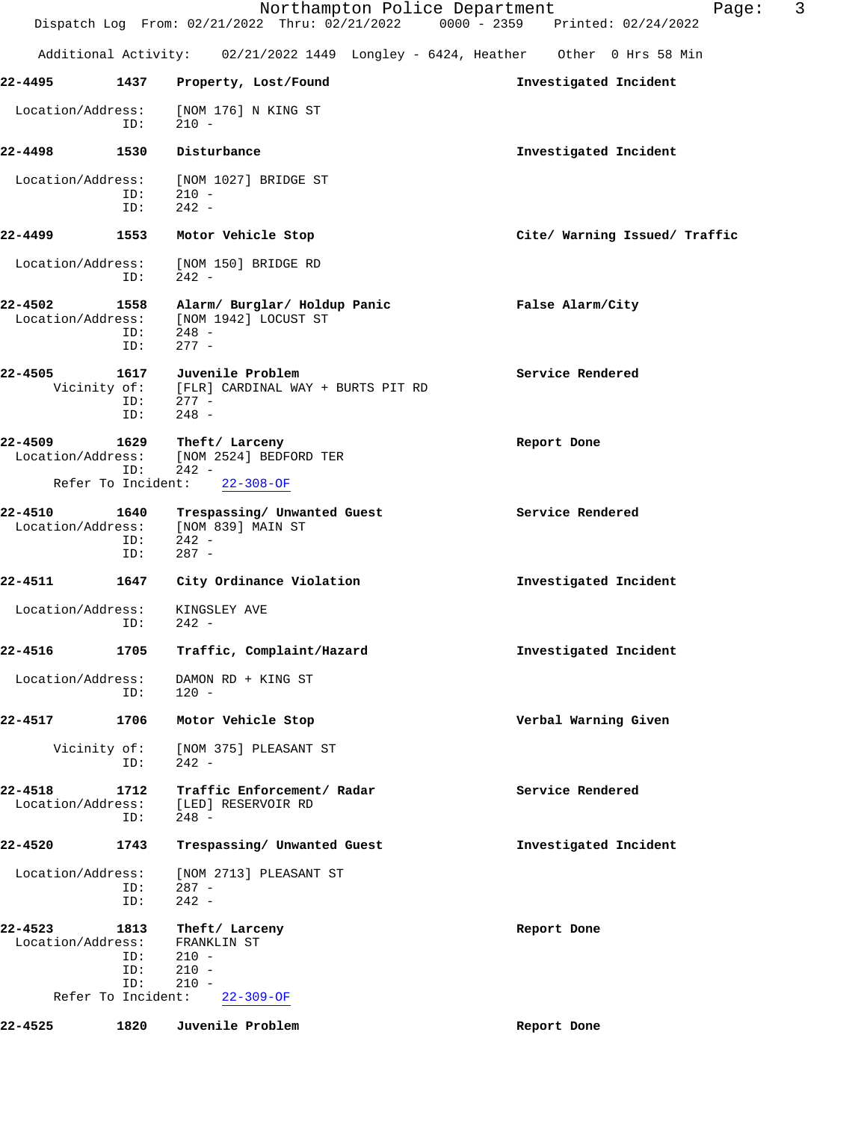|                              |                                                 |                                                                                        | 3<br>Northampton Police Department<br>Page:<br>Dispatch Log From: 02/21/2022 Thru: 02/21/2022 0000 - 2359 Printed: 02/24/2022 |
|------------------------------|-------------------------------------------------|----------------------------------------------------------------------------------------|-------------------------------------------------------------------------------------------------------------------------------|
|                              |                                                 |                                                                                        | Additional Activity: 02/21/2022 1449 Longley - 6424, Heather Other 0 Hrs 58 Min                                               |
| 22-4495                      | 1437                                            | Property, Lost/Found                                                                   | Investigated Incident                                                                                                         |
| Location/Address:            | ID:                                             | [NOM 176] N KING ST<br>$210 -$                                                         |                                                                                                                               |
| 22-4498                      | 1530                                            | Disturbance                                                                            | Investigated Incident                                                                                                         |
| Location/Address:            | ID:<br>ID:                                      | [NOM 1027] BRIDGE ST<br>$210 -$<br>$242 -$                                             |                                                                                                                               |
| 22-4499                      | 1553                                            | Motor Vehicle Stop                                                                     | Cite/ Warning Issued/ Traffic                                                                                                 |
| Location/Address:            | ID:                                             | [NOM 150] BRIDGE RD<br>$242 -$                                                         |                                                                                                                               |
| 22-4502<br>Location/Address: | 1558<br>ID:<br>ID:                              | Alarm/ Burglar/ Holdup Panic<br>[NOM 1942] LOCUST ST<br>$248 -$<br>$277 -$             | False Alarm/City                                                                                                              |
| 22-4505                      | 1617<br>ID:<br>ID:                              | Juvenile Problem<br>Vicinity of: [FLR] CARDINAL WAY + BURTS PIT RD<br>277 -<br>$248 -$ | Service Rendered                                                                                                              |
| 22-4509<br>Location/Address: | 1629<br>ID:                                     | Theft/ Larceny<br>[NOM 2524] BEDFORD TER<br>$242 -$                                    | Report Done                                                                                                                   |
|                              | Refer To Incident:                              | $22 - 308 - OF$                                                                        |                                                                                                                               |
| 22-4510<br>Location/Address: | 1640<br>ID:<br>ID:                              | Trespassing/ Unwanted Guest<br>[NOM 839] MAIN ST<br>$242 -$<br>$287 -$                 | Service Rendered                                                                                                              |
| 22-4511                      | 1647                                            | City Ordinance Violation                                                               | Investigated Incident                                                                                                         |
| Location/Address:            | ID:                                             | KINGSLEY AVE<br>$242 -$                                                                |                                                                                                                               |
| 22-4516                      | 1705                                            | Traffic, Complaint/Hazard                                                              | Investigated Incident                                                                                                         |
| Location/Address:            | ID:                                             | DAMON RD + KING ST<br>$120 -$                                                          |                                                                                                                               |
| 22-4517                      | 1706                                            | Motor Vehicle Stop                                                                     | Verbal Warning Given                                                                                                          |
|                              | Vicinity of:<br>ID:                             | [NOM 375] PLEASANT ST<br>$242 -$                                                       |                                                                                                                               |
| 22-4518<br>Location/Address: | 1712<br>ID:                                     | Traffic Enforcement/ Radar<br>[LED] RESERVOIR RD<br>$248 -$                            | Service Rendered                                                                                                              |
| 22-4520                      | 1743                                            | Trespassing/ Unwanted Guest                                                            | Investigated Incident                                                                                                         |
| Location/Address:            | ID:<br>ID:                                      | [NOM 2713] PLEASANT ST<br>$287 -$<br>$242 -$                                           |                                                                                                                               |
| 22-4523<br>Location/Address: | 1813<br>ID:<br>ID:<br>ID:<br>Refer To Incident: | Theft/ Larceny<br>FRANKLIN ST<br>$210 -$<br>$210 -$<br>$210 -$<br>$22 - 309 - OF$      | Report Done                                                                                                                   |
| 22-4525                      | 1820                                            | Juvenile Problem                                                                       | Report Done                                                                                                                   |